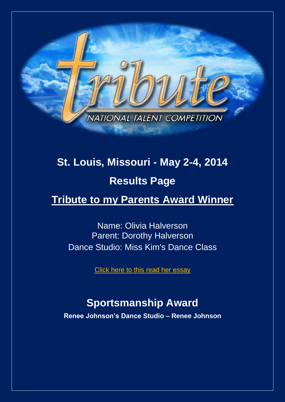

# **St. Louis, Missouri - May 2-4, 2014 Results Page**

# **Tribute to my Parents Award Winner**

Name: Olivia Halverson Parent: Dorothy Halverson Dance Studio: Miss Kim's Dance Class

Click here [to this read her essay](http://www.tributetodance.com/2014/essays/stlessay14.pdf)

# **Sportsmanship Award**

**Renee Johnson's Dance Studio – Renee Johnson**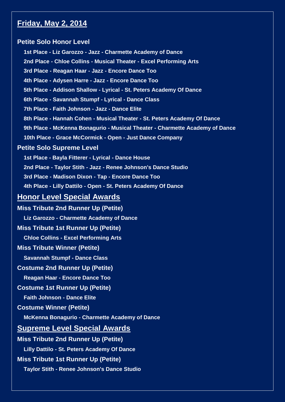# **Friday, May 2, 2014**

#### **Petite Solo Honor Level**

**1st Place - Liz Garozzo - Jazz - Charmette Academy of Dance 2nd Place - Chloe Collins - Musical Theater - Excel Performing Arts 3rd Place - Reagan Haar - Jazz - Encore Dance Too 4th Place - Adysen Harre - Jazz - Encore Dance Too 5th Place - Addison Shallow - Lyrical - St. Peters Academy Of Dance 6th Place - Savannah Stumpf - Lyrical - Dance Class 7th Place - Faith Johnson - Jazz - Dance Elite 8th Place - Hannah Cohen - Musical Theater - St. Peters Academy Of Dance 9th Place - McKenna Bonagurio - Musical Theater - Charmette Academy of Dance 10th Place - Grace McCormick - Open - Just Dance Company Petite Solo Supreme Level 1st Place - Bayla Fitterer - Lyrical - Dance House 2nd Place - Taylor Stith - Jazz - Renee Johnson's Dance Studio 3rd Place - Madison Dixon - Tap - Encore Dance Too 4th Place - Lilly Dattilo - Open - St. Peters Academy Of Dance Honor Level Special Awards Miss Tribute 2nd Runner Up (Petite) Liz Garozzo - Charmette Academy of Dance Miss Tribute 1st Runner Up (Petite) Chloe Collins - Excel Performing Arts Miss Tribute Winner (Petite) Savannah Stumpf - Dance Class Costume 2nd Runner Up (Petite) Reagan Haar - Encore Dance Too Costume 1st Runner Up (Petite) Faith Johnson - Dance Elite Costume Winner (Petite) McKenna Bonagurio - Charmette Academy of Dance Supreme Level Special Awards Miss Tribute 2nd Runner Up (Petite) Lilly Dattilo - St. Peters Academy Of Dance Miss Tribute 1st Runner Up (Petite)**

**Taylor Stith - Renee Johnson's Dance Studio**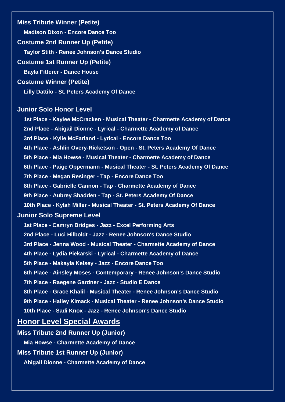**Miss Tribute Winner (Petite) Madison Dixon - Encore Dance Too Costume 2nd Runner Up (Petite) Taylor Stith - Renee Johnson's Dance Studio Costume 1st Runner Up (Petite) Bayla Fitterer - Dance House Costume Winner (Petite) Lilly Dattilo - St. Peters Academy Of Dance**

#### **Junior Solo Honor Level**

**1st Place - Kaylee McCracken - Musical Theater - Charmette Academy of Dance**

**2nd Place - Abigail Dionne - Lyrical - Charmette Academy of Dance**

**3rd Place - Kylie McFarland - Lyrical - Encore Dance Too**

**4th Place - Ashlin Overy-Ricketson - Open - St. Peters Academy Of Dance**

**5th Place - Mia Howse - Musical Theater - Charmette Academy of Dance**

**6th Place - Paige Oppermann - Musical Theater - St. Peters Academy Of Dance**

**7th Place - Megan Resinger - Tap - Encore Dance Too**

**8th Place - Gabrielle Cannon - Tap - Charmette Academy of Dance**

**9th Place - Aubrey Shadden - Tap - St. Peters Academy Of Dance**

**10th Place - Kylah Miller - Musical Theater - St. Peters Academy Of Dance**

#### **Junior Solo Supreme Level**

**1st Place - Camryn Bridges - Jazz - Excel Performing Arts**

**2nd Place - Luci Hilboldt - Jazz - Renee Johnson's Dance Studio**

**3rd Place - Jenna Wood - Musical Theater - Charmette Academy of Dance**

**4th Place - Lydia Piekarski - Lyrical - Charmette Academy of Dance**

**5th Place - Makayla Kelsey - Jazz - Encore Dance Too**

**6th Place - Ainsley Moses - Contemporary - Renee Johnson's Dance Studio**

**7th Place - Raegene Gardner - Jazz - Studio E Dance**

**8th Place - Grace Khalil - Musical Theater - Renee Johnson's Dance Studio**

**9th Place - Hailey Kimack - Musical Theater - Renee Johnson's Dance Studio**

**10th Place - Sadi Knox - Jazz - Renee Johnson's Dance Studio**

# **Honor Level Special Awards**

**Miss Tribute 2nd Runner Up (Junior)**

**Mia Howse - Charmette Academy of Dance**

**Miss Tribute 1st Runner Up (Junior)**

**Abigail Dionne - Charmette Academy of Dance**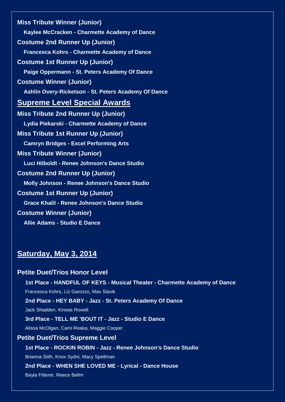**Miss Tribute Winner (Junior) Kaylee McCracken - Charmette Academy of Dance Costume 2nd Runner Up (Junior) Francesca Kohrs - Charmette Academy of Dance Costume 1st Runner Up (Junior) Paige Oppermann - St. Peters Academy Of Dance Costume Winner (Junior) Ashlin Overy-Ricketson - St. Peters Academy Of Dance Supreme Level Special Awards Miss Tribute 2nd Runner Up (Junior) Lydia Piekarski - Charmette Academy of Dance Miss Tribute 1st Runner Up (Junior) Camryn Bridges - Excel Performing Arts Miss Tribute Winner (Junior) Luci Hilboldt - Renee Johnson's Dance Studio Costume 2nd Runner Up (Junior) Molly Johnson - Renee Johnson's Dance Studio Costume 1st Runner Up (Junior) Grace Khalil - Renee Johnson's Dance Studio Costume Winner (Junior) Allie Adams - Studio E Dance**

# **Saturday, May 3, 2014**

# **Petite Duet/Trios Honor Level 1st Place - HANDFUL OF KEYS - Musical Theater - Charmette Academy of Dance** Francesca Kohrs, Liz Garozzo, Max Slavik **2nd Place - HEY BABY - Jazz - St. Peters Academy Of Dance** Jack Shadden, Kinsee Rowell **3rd Place - TELL ME 'BOUT IT - Jazz - Studio E Dance** Alissa McOlgan, Cami Reaka, Maggie Cooper **Petite Duet/Trios Supreme Level 1st Place - ROCKIN ROBIN - Jazz - Renee Johnson's Dance Studio** Brianna Stith, Knox Sydni, Macy Spellman **2nd Place - WHEN SHE LOVED ME - Lyrical - Dance House** Bayla Fitterer, Reece Bellm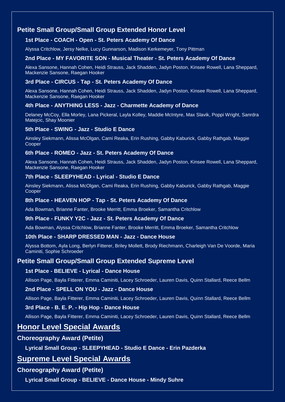# **Petite Small Group/Small Group Extended Honor Level**

#### **1st Place - COACH - Open - St. Peters Academy Of Dance**

Alyssa Critchlow, Jersy Nelke, Lucy Gunnarson, Madison Kerkemeyer, Tony Pittman

#### **2nd Place - MY FAVORITE SON - Musical Theater - St. Peters Academy Of Dance**

Alexa Sansone, Hannah Cohen, Heidi Strauss, Jack Shadden, Jadyn Poston, Kinsee Rowell, Lana Sheppard, Mackenzie Sansone, Raegan Hooker

#### **3rd Place - CIRCUS - Tap - St. Peters Academy Of Dance**

Alexa Sansone, Hannah Cohen, Heidi Strauss, Jack Shadden, Jadyn Poston, Kinsee Rowell, Lana Sheppard, Mackenzie Sansone, Raegan Hooker

#### **4th Place - ANYTHING LESS - Jazz - Charmette Academy of Dance**

Delaney McCoy, Ella Morley, Lana Pickeral, Layla Kolley, Maddie McIntyre, Max Slavik, Poppi Wright, Sanrdra Matejcic, Shay Moonier

#### **5th Place - SWING - Jazz - Studio E Dance**

Ainsley Siekmann, Alissa McOlgan, Cami Reaka, Erin Rushing, Gabby Kaburick, Gabby Rathgab, Maggie Cooper

#### **6th Place - ROMEO - Jazz - St. Peters Academy Of Dance**

Alexa Sansone, Hannah Cohen, Heidi Strauss, Jack Shadden, Jadyn Poston, Kinsee Rowell, Lana Sheppard, Mackenzie Sansone, Raegan Hooker

#### **7th Place - SLEEPYHEAD - Lyrical - Studio E Dance**

Ainsley Siekmann, Alissa McOlgan, Cami Reaka, Erin Rushing, Gabby Kaburick, Gabby Rathgab, Maggie Cooper

#### **8th Place - HEAVEN HOP - Tap - St. Peters Academy Of Dance**

Ada Bowman, Brianne Fanter, Brooke Merritt, Emma Broeker, Samantha Critchlow

#### **9th Place - FUNKY Y2C - Jazz - St. Peters Academy Of Dance**

Ada Bowman, Alyssa Critchlow, Brianne Fanter, Brooke Merritt, Emma Broeker, Samantha Critchlow

#### **10th Place - SHARP DRESSED MAN - Jazz - Dance House**

Alyssa Bottom, Ayla Long, Berlyn Fitterer, Briley Mollett, Brody Riechmann, Charleigh Van De Voorde, Maria Caminiti, Sophie Schroeder

#### **Petite Small Group/Small Group Extended Supreme Level**

#### **1st Place - BELIEVE - Lyrical - Dance House**

Allison Page, Bayla Fitterer, Emma Caminiti, Lacey Schroeder, Lauren Davis, Quinn Stallard, Reece Bellm

#### **2nd Place - SPELL ON YOU - Jazz - Dance House**

Allison Page, Bayla Fitterer, Emma Caminiti, Lacey Schroeder, Lauren Davis, Quinn Stallard, Reece Bellm

#### **3rd Place - B. E. P. - Hip Hop - Dance House**

Allison Page, Bayla Fitterer, Emma Caminiti, Lacey Schroeder, Lauren Davis, Quinn Stallard, Reece Bellm

# **Honor Level Special Awards**

#### **Choreography Award (Petite)**

**Lyrical Small Group - SLEEPYHEAD - Studio E Dance - Erin Pazderka**

# **Supreme Level Special Awards**

#### **Choreography Award (Petite)**

**Lyrical Small Group - BELIEVE - Dance House - Mindy Suhre**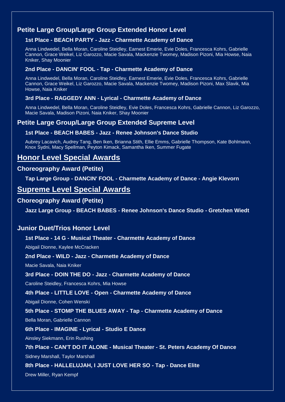# **Petite Large Group/Large Group Extended Honor Level**

#### **1st Place - BEACH PARTY - Jazz - Charmette Academy of Dance**

Anna Lindwedel, Bella Moran, Caroline Steidley, Earnest Emerie, Evie Doles, Francesca Kohrs, Gabrielle Cannon, Grace Weikel, Liz Garozzo, Macie Savala, Mackenzie Twomey, Madison Pizoni, Mia Howse, Naia Kniker, Shay Moonier

#### **2nd Place - DANCIN' FOOL - Tap - Charmette Academy of Dance**

Anna Lindwedel, Bella Moran, Caroline Steidley, Earnest Emerie, Evie Doles, Francesca Kohrs, Gabrielle Cannon, Grace Weikel, Liz Garozzo, Macie Savala, Mackenzie Twomey, Madison Pizoni, Max Slavik, Mia Howse, Naia Kniker

#### **3rd Place - RAGGEDY ANN - Lyrical - Charmette Academy of Dance**

Anna Lindwedel, Bella Moran, Caroline Steidley, Evie Doles, Francesca Kohrs, Gabrielle Cannon, Liz Garozzo, Macie Savala, Madison Pizoni, Naia Kniker, Shay Moonier

# **Petite Large Group/Large Group Extended Supreme Level**

#### **1st Place - BEACH BABES - Jazz - Renee Johnson's Dance Studio**

Aubrey Lacavich, Audrey Tang, Ben Iken, Brianna Stith, Ellie Emms, Gabrielle Thompson, Kate Bohlmann, Knox Sydni, Macy Spellman, Peyton Kimack, Samantha Iken, Summer Fugate

# **Honor Level Special Awards**

#### **Choreography Award (Petite)**

**Tap Large Group - DANCIN' FOOL - Charmette Academy of Dance - Angie Klevorn**

# **Supreme Level Special Awards**

#### **Choreography Award (Petite)**

**Jazz Large Group - BEACH BABES - Renee Johnson's Dance Studio - Gretchen Wiedt**

## **Junior Duet/Trios Honor Level**

#### **1st Place - 14 G - Musical Theater - Charmette Academy of Dance**

Abigail Dionne, Kaylee McCracken

#### **2nd Place - WILD - Jazz - Charmette Academy of Dance**

Macie Savala, Naia Kniker

#### **3rd Place - DOIN THE DO - Jazz - Charmette Academy of Dance**

Caroline Steidley, Francesca Kohrs, Mia Howse

#### **4th Place - LITTLE LOVE - Open - Charmette Academy of Dance**

Abigail Dionne, Cohen Wenski

#### **5th Place - STOMP THE BLUES AWAY - Tap - Charmette Academy of Dance**

Bella Moran, Gabrielle Cannon

#### **6th Place - IMAGINE - Lyrical - Studio E Dance**

Ainsley Siekmann, Erin Rushing

#### **7th Place - CAN'T DO IT ALONE - Musical Theater - St. Peters Academy Of Dance**

Sidney Marshall, Taylor Marshall

#### **8th Place - HALLELUJAH, I JUST LOVE HER SO - Tap - Dance Elite**

Drew Miller, Ryan Kempf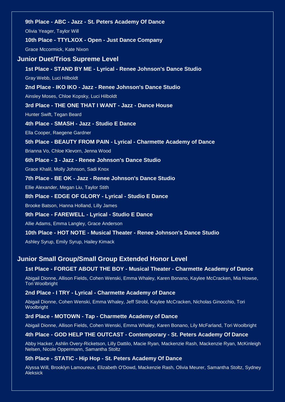**9th Place - ABC - Jazz - St. Peters Academy Of Dance** Olivia Yeager, Taylor Will **10th Place - TTYLXOX - Open - Just Dance Company** Grace Mccormick, Kate Nixon **Junior Duet/Trios Supreme Level 1st Place - STAND BY ME - Lyrical - Renee Johnson's Dance Studio** Gray Webb, Luci Hilboldt **2nd Place - IKO IKO - Jazz - Renee Johnson's Dance Studio** Ainsley Moses, Chloe Kopsky, Luci Hilboldt **3rd Place - THE ONE THAT I WANT - Jazz - Dance House** Hunter Swift, Tegan Beard **4th Place - SMASH - Jazz - Studio E Dance** Ella Cooper, Raegene Gardner **5th Place - BEAUTY FROM PAIN - Lyrical - Charmette Academy of Dance** Brianna Vo, Chloe Klevorn, Jenna Wood **6th Place - 3 - Jazz - Renee Johnson's Dance Studio** Grace Khalil, Molly Johnson, Sadi Knox **7th Place - BE OK - Jazz - Renee Johnson's Dance Studio** Ellie Alexander, Megan Liu, Taylor Stith **8th Place - EDGE OF GLORY - Lyrical - Studio E Dance** Brooke Batson, Hanna Holland, Lilly James **9th Place - FAREWELL - Lyrical - Studio E Dance** Allie Adams, Emma Langley, Grace Anderson **10th Place - HOT NOTE - Musical Theater - Renee Johnson's Dance Studio** Ashley Syrup, Emily Syrup, Hailey Kimack

#### **Junior Small Group/Small Group Extended Honor Level**

#### **1st Place - FORGET ABOUT THE BOY - Musical Theater - Charmette Academy of Dance**

Abigail Dionne, Allison Fields, Cohen Wenski, Emma Whaley, Karen Bonano, Kaylee McCracken, Mia Howse, Tori Woolbright

#### **2nd Place - I TRY - Lyrical - Charmette Academy of Dance**

Abigail Dionne, Cohen Wenski, Emma Whaley, Jeff Strobl, Kaylee McCracken, Nicholas Ginocchio, Tori Woolbright

#### **3rd Place - MOTOWN - Tap - Charmette Academy of Dance**

Abigail Dionne, Allison Fields, Cohen Wenski, Emma Whaley, Karen Bonano, Lily McFarland, Tori Woolbright

#### **4th Place - GOD HELP THE OUTCAST - Contemporary - St. Peters Academy Of Dance**

Abby Hacker, Ashlin Overy-Ricketson, Lilly Dattilo, Macie Ryan, Mackenzie Rash, Mackenzie Ryan, McKinleigh Nelsen, Nicole Oppermann, Samantha Stoltz

#### **5th Place - STATIC - Hip Hop - St. Peters Academy Of Dance**

Alyssa Will, Brooklyn Lamoureux, Elizabeth O'Dowd, Mackenzie Rash, Olivia Meurer, Samantha Stoltz, Sydney Aleksick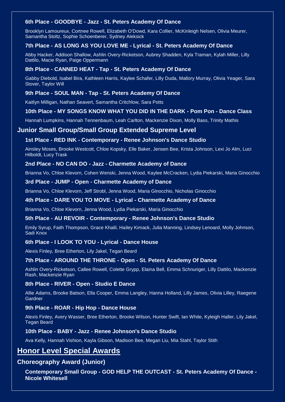#### **6th Place - GOODBYE - Jazz - St. Peters Academy Of Dance**

Brooklyn Lamoureux, Cortnee Rowell, Elizabeth O'Dowd, Kara Collier, McKinleigh Nelsen, Olivia Meurer, Samantha Stoltz, Sophie Schoenberer, Sydney Aleksick

#### **7th Place - AS LONG AS YOU LOVE ME - Lyrical - St. Peters Academy Of Dance**

Abby Hacker, Addison Shallow, Ashlin Overy-Ricketson, Aubrey Shadden, Kyla Traman, Kylah Miller, Lilly Dattilo, Macie Ryan, Paige Oppermann

#### **8th Place - CANNED HEAT - Tap - St. Peters Academy Of Dance**

Gabby Diebold, Isabel Bira, Kathleen Harris, Kaylee Schafer, Lilly Duda, Mallory Murray, Olivia Yeager, Sara Stover, Taylor Will

#### **9th Place - SOUL MAN - Tap - St. Peters Academy Of Dance**

Kaitlyn Milligan, Nathan Seavert, Samantha Critchlow, Sara Potts

#### **10th Place - MY SONGS KNOW WHAT YOU DID IN THE DARK - Pom Pon - Dance Class**

Hannah Lumpkins, Hannah Tennenbaum, Leah Carlton, Mackenzie Dixon, Molly Bass, Trinity Mathis

#### **Junior Small Group/Small Group Extended Supreme Level**

#### **1st Place - RED INK - Contemporary - Renee Johnson's Dance Studio**

Ainsley Moses, Brooke Westcott, Chloe Kopsky, Elle Baker, Jensen Bee, Krista Johnson, Lexi Jo Alm, Luci Hilboldt, Lucy Trask

#### **2nd Place - NO CAN DO - Jazz - Charmette Academy of Dance**

Brianna Vo, Chloe Klevorn, Cohen Wenski, Jenna Wood, Kaylee McCracken, Lydia Piekarski, Maria Ginocchio

#### **3rd Place - JUMP - Open - Charmette Academy of Dance**

Brianna Vo, Chloe Klevorn, Jeff Strobl, Jenna Wood, Maria Ginocchio, Nicholas Ginocchio

#### **4th Place - DARE YOU TO MOVE - Lyrical - Charmette Academy of Dance**

Brianna Vo, Chloe Klevorn, Jenna Wood, Lydia Piekarski, Maria Ginocchio

#### **5th Place - AU REVOIR - Contemporary - Renee Johnson's Dance Studio**

Emily Syrup, Faith Thompson, Grace Khalil, Hailey Kimack, Julia Manning, Lindsey Lenoard, Molly Johnson, Sadi Knox

#### **6th Place - I LOOK TO YOU - Lyrical - Dance House**

Alexis Finley, Bree Etherton, Lily Jakel, Tegan Beard

#### **7th Place - AROUND THE THRONE - Open - St. Peters Academy Of Dance**

Ashlin Overy-Ricketson, Callee Rowell, Colette Grypp, Elaina Bell, Emma Schnuriger, Lilly Dattilo, Mackenzie Rash, Mackenzie Ryan

#### **8th Place - RIVER - Open - Studio E Dance**

Allie Adams, Brooke Batson, Ella Cooper, Emma Langley, Hanna Holland, Lilly James, Olivia Lilley, Raegene **Gardner** 

#### **9th Place - ROAR - Hip Hop - Dance House**

Alexis Finley, Avery Wasser, Bree Etherton, Brooke Wilson, Hunter Swift, Ian White, Kyleigh Haller, Lily Jakel, Tegan Beard

#### **10th Place - BABY - Jazz - Renee Johnson's Dance Studio**

Ava Kelly, Hannah Vishion, Kayla Gibson, Madison Bee, Megan Liu, Mia Stahl, Taylor Stith

## **Honor Level Special Awards**

#### **Choreography Award (Junior)**

**Contemporary Small Group - GOD HELP THE OUTCAST - St. Peters Academy Of Dance - Nicole Whitesell**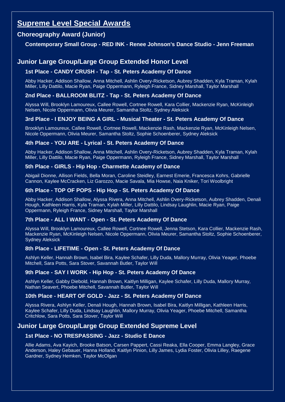# **Supreme Level Special Awards**

## **Choreography Award (Junior)**

#### **Contemporary Small Group - RED INK - Renee Johnson's Dance Studio - Jenn Freeman**

# **Junior Large Group/Large Group Extended Honor Level**

#### **1st Place - CANDY CRUSH - Tap - St. Peters Academy Of Dance**

Abby Hacker, Addison Shallow, Anna Mitchell, Ashlin Overy-Ricketson, Aubrey Shadden, Kyla Traman, Kylah Miller, Lilly Dattilo, Macie Ryan, Paige Oppermann, Ryleigh France, Sidney Marshall, Taylor Marshall

#### **2nd Place - BALLROOM BLITZ - Tap - St. Peters Academy Of Dance**

Alyssa Will, Brooklyn Lamoureux, Callee Rowell, Cortnee Rowell, Kara Collier, Mackenzie Ryan, McKinleigh Nelsen, Nicole Oppermann, Olivia Meurer, Samantha Stoltz, Sydney Aleksick

#### **3rd Place - I ENJOY BEING A GIRL - Musical Theater - St. Peters Academy Of Dance**

Brooklyn Lamoureux, Callee Rowell, Cortnee Rowell, Mackenzie Rash, Mackenzie Ryan, McKinleigh Nelsen, Nicole Oppermann, Olivia Meurer, Samantha Stoltz, Sophie Schoenberer, Sydney Aleksick

#### **4th Place - YOU ARE - Lyrical - St. Peters Academy Of Dance**

Abby Hacker, Addison Shallow, Anna Mitchell, Ashlin Overy-Ricketson, Aubrey Shadden, Kyla Traman, Kylah Miller, Lilly Dattilo, Macie Ryan, Paige Oppermann, Ryleigh France, Sidney Marshall, Taylor Marshall

#### **5th Place - GIRLS - Hip Hop - Charmette Academy of Dance**

Abigail Dionne, Allison Fields, Bella Moran, Caroline Steidley, Earnest Emerie, Francesca Kohrs, Gabrielle Cannon, Kaylee McCracken, Liz Garozzo, Macie Savala, Mia Howse, Naia Kniker, Tori Woolbright

#### **6th Place - TOP OF POPS - Hip Hop - St. Peters Academy Of Dance**

Abby Hacker, Addison Shallow, Alyssa Rivera, Anna Mitchell, Ashlin Overy-Ricketson, Aubrey Shadden, Denali Hough, Kathleen Harris, Kyla Traman, Kylah Miller, Lilly Dattilo, Lindsay Laughlin, Macie Ryan, Paige Oppermann, Ryleigh France, Sidney Marshall, Taylor Marshall

#### **7th Place - ALL I WANT - Open - St. Peters Academy Of Dance**

Alyssa Will, Brooklyn Lamoureux, Callee Rowell, Cortnee Rowell, Jenna Stetson, Kara Collier, Mackenzie Rash, Mackenzie Ryan, McKinleigh Nelsen, Nicole Oppermann, Olivia Meurer, Samantha Stoltz, Sophie Schoenberer, Sydney Aleksick

#### **8th Place - LIFETIME - Open - St. Peters Academy Of Dance**

Ashlyn Keller, Hannah Brown, Isabel Bira, Kaylee Schafer, Lilly Duda, Mallory Murray, Olivia Yeager, Phoebe Mitchell, Sara Potts, Sara Stover, Savannah Butler, Taylor Will

#### **9th Place - SAY I WORK - Hip Hop - St. Peters Academy Of Dance**

Ashlyn Keller, Gabby Diebold, Hannah Brown, Kaitlyn Milligan, Kaylee Schafer, Lilly Duda, Mallory Murray, Nathan Seavert, Phoebe Mitchell, Savannah Butler, Taylor Will

#### **10th Place - HEART OF GOLD - Jazz - St. Peters Academy Of Dance**

Alyssa Rivera, Ashlyn Keller, Denali Hough, Hannah Brown, Isabel Bira, Kaitlyn Milligan, Kathleen Harris, Kaylee Schafer, Lilly Duda, Lindsay Laughlin, Mallory Murray, Olivia Yeager, Phoebe Mitchell, Samantha Critchlow, Sara Potts, Sara Stover, Taylor Will

## **Junior Large Group/Large Group Extended Supreme Level**

#### **1st Place - NO TRESPASSING - Jazz - Studio E Dance**

Allie Adams, Ava Kayich, Brooke Batson, Carsen Pappert, Cassi Reaka, Ella Cooper, Emma Langley, Grace Anderson, Haley Gebauer, Hanna Holland, Kaitlyn Pinion, Lilly James, Lydia Foster, Olivia Lilley, Raegene Gardner, Sydney Hemken, Taylor McOlgan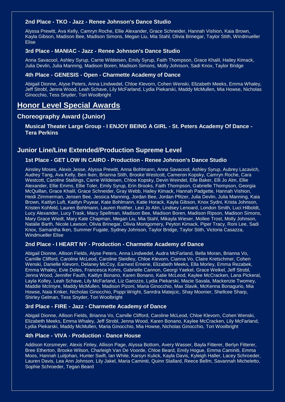#### **2nd Place - TKO - Jazz - Renee Johnson's Dance Studio**

Alyssa Prewitt, Ava Kelly, Camryn Roche, Ellie Alexander, Grace Schneider, Hannah Vishion, Kaia Brown, Kayla Gibson, Madison Bee, Madison Simons, Megan Liu, Mia Stahl, Olivia Brinegar, Taylor Stith, Windmueller Elise

#### **3rd Place - MANIAC - Jazz - Renee Johnson's Dance Studio**

Anna Savacool, Ashley Syrup, Carrie Wildeisen, Emily Syrup, Faith Thompson, Grace Khalil, Hailey Kimack, Julia Devlin, Julia Manning, Madison Boren, Madison Simons, Molly Johnson, Sadi Knox, Taylor Bridge

#### **4th Place - GENESIS - Open - Charmette Academy of Dance**

Abigail Dionne, Alyse Peters, Anna Lindwedel, Chloe Klevorn, Cohen Wenski, Elizabeth Meeks, Emma Whaley, Jeff Strobl, Jenna Wood, Leah Schave, Lily McFarland, Lydia Piekarski, Maddy McMullen, Mia Howse, Nicholas Ginocchio, Tess Snyder, Tori Woolbright

# **Honor Level Special Awards**

#### **Choreography Award (Junior)**

**Musical Theater Large Group - I ENJOY BEING A GIRL - St. Peters Academy Of Dance - Tera Perkins**

#### **Junior Line/Line Extended/Production Supreme Level**

#### **1st Place - GET LOW IN CAIRO - Production - Renee Johnson's Dance Studio**

Ainsley Moses, Alexis Jesse, Alyssa Prewitt, Anna Bohlmann, Anna Savacool, Ashley Syrup, Aubrey Lacavich, Audrey Tang, Ava Kelly, Ben Iken, Brianna Stith, Brooke Westcott, Cameron Kopsky, Camryn Roche, Cara Westcott, Caroline Stallings, Carrie Wildeisen, Chloe Kopsky, Devin Weindel, Elle Baker, Elli Jo Alm, Ellie Alexander, Ellie Emms, Ellie Toler, Emily Syrup, Erin Brooks, Faith Thompson, Gabrielle Thompson, Georgia McQuillan, Grace Khalil, Grace Schneider, Gray Webb, Hailey Kimack, Hannah Padgette, Hannah Vishion, Heidi Zimmerman, Jensen Bee, Jessica Manning, Jordan Bee, Jordan Pfitzer, Julia Devlin, Julia Manning, Kaia Brown, Kaitlyn Luft, Kaitlyn Puyear, Kate Bohlmann, Katie Horack, Kayla Gibson, Knox Sydni, Krista Johnson, Kristen Kohfeld, Lauren Bohlmann, Lauren Roither, Lexi Jo Alm, Lindsey Lenoard, London Smith, Luci Hilboldt, Lucy Alexander, Lucy Trask, Macy Spellman, Madison Bee, Madison Boren, Madison Ripson, Madison Simons, Mary Grace Wiedt, Mary Kate Chapman, Megan Liu, Mia Stahl, Mikayla Wieser, Mollee Trost, Molly Johnson, Natalie Barth, Nicole Lawson, Olivia Brinegar, Olivia Montgomery, Peyton Kimack, Piper Tracy, Roni Lee, Sadi Knox, Samantha Iken, Summer Fugate, Sydney Johnson, Taylor Bridge, Taylor Stith, Victoria Casazza, Windmueller Elise

#### **2nd Place - I HEART NY - Production - Charmette Academy of Dance**

Abigail Dionne, Allison Fields, Alyse Peters, Anna Lindwedel, Audra McFarland, Bella Moran, Brianna Vo, Camille Clifford, Caroline McLeod, Caroline Steidley, Chloe Klevorn, Cianna Vo, Claire Kretschmer, Cohen Wenski, Danielle Klevorn, Delaney McCoy, Earnest Emerie, Elizabeth Meeks, Ella Morley, Emma Rezabek, Emma Whaley, Evie Doles, Francesca Kohrs, Gabrielle Cannon, Georgi Yaekel, Grace Weikel, Jeff Strobl, Jenna Wood, Jennifer Fauth, Kaitlyn Bonano, Karen Bonano, Katie McLeod, Kaylee McCracken, Lana Pickeral, Layla Kolley, Leah Schave, Lily McFarland, Liz Garozzo, Lydia Piekarski, Macie Savala, Mackenzie Twomey, Maddie McIntyre, Maddy McMullen, Madison Pizoni, Maria Ginocchio, Max Slavik, McKenna Bonagurio, Mia Howse, Naia Kniker, Nicholas Ginocchio, Poppi Wright, Sanrdra Matejcic, Shay Moonier, Shellcee Sharp, Shirley Gelman, Tess Snyder, Tori Woolbright

#### **3rd Place - FIRE - Jazz - Charmette Academy of Dance**

Abigail Dionne, Allison Fields, Brianna Vo, Camille Clifford, Caroline McLeod, Chloe Klevorn, Cohen Wenski, Elizabeth Meeks, Emma Whaley, Jeff Strobl, Jenna Wood, Karen Bonano, Kaylee McCracken, Lily McFarland, Lydia Piekarski, Maddy McMullen, Maria Ginocchio, Mia Howse, Nicholas Ginocchio, Tori Woolbright

#### **4th Place - VIVA - Production - Dance House**

Addison Korsmeyer, Alexis Finley, Allison Page, Alyssa Bottom, Avery Wasser, Bayla Fitterer, Berlyn Fitterer, Bree Etherton, Brooke Wilson, Charleigh Van De Voorde, Chloe Beard, Emily Hogue, Emma Caminiti, Emma Moos, Hannah Luitjohan, Hunter Swift, Ian White, Karsyn Kulick, Kayla Davis, Kyleigh Haller, Lacey Schroeder, Lauren Davis, Lea Ann Johnson, Lily Jakel, Maria Caminiti, Quinn Stallard, Reece Bellm, Savannah Micheletto, Sophie Schroeder, Tegan Beard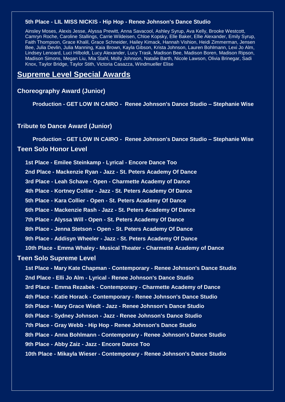#### **5th Place - LIL MISS NICKIS - Hip Hop - Renee Johnson's Dance Studio**

Ainsley Moses, Alexis Jesse, Alyssa Prewitt, Anna Savacool, Ashley Syrup, Ava Kelly, Brooke Westcott, Camryn Roche, Caroline Stallings, Carrie Wildeisen, Chloe Kopsky, Elle Baker, Ellie Alexander, Emily Syrup, Faith Thompson, Grace Khalil, Grace Schneider, Hailey Kimack, Hannah Vishion, Heidi Zimmerman, Jensen Bee, Julia Devlin, Julia Manning, Kaia Brown, Kayla Gibson, Krista Johnson, Lauren Bohlmann, Lexi Jo Alm, Lindsey Lenoard, Luci Hilboldt, Lucy Alexander, Lucy Trask, Madison Bee, Madison Boren, Madison Ripson, Madison Simons, Megan Liu, Mia Stahl, Molly Johnson, Natalie Barth, Nicole Lawson, Olivia Brinegar, Sadi Knox, Taylor Bridge, Taylor Stith, Victoria Casazza, Windmueller Elise

# **Supreme Level Special Awards**

#### **Choreography Award (Junior)**

 **Production - GET LOW IN CAIRO - Renee Johnson's Dance Studio – Stephanie Wise**

#### **Tribute to Dance Award (Junior)**

 **Production - GET LOW IN CAIRO - Renee Johnson's Dance Studio – Stephanie Wise Teen Solo Honor Level**

**1st Place - Emilee Steinkamp - Lyrical - Encore Dance Too**

**2nd Place - Mackenzie Ryan - Jazz - St. Peters Academy Of Dance**

**3rd Place - Leah Schave - Open - Charmette Academy of Dance**

**4th Place - Kortney Collier - Jazz - St. Peters Academy Of Dance**

**5th Place - Kara Collier - Open - St. Peters Academy Of Dance**

**6th Place - Mackenzie Rash - Jazz - St. Peters Academy Of Dance**

**7th Place - Alyssa Will - Open - St. Peters Academy Of Dance**

**8th Place - Jenna Stetson - Open - St. Peters Academy Of Dance**

**9th Place - Addisyn Wheeler - Jazz - St. Peters Academy Of Dance**

**10th Place - Emma Whaley - Musical Theater - Charmette Academy of Dance**

#### **Teen Solo Supreme Level**

**1st Place - Mary Kate Chapman - Contemporary - Renee Johnson's Dance Studio**

**2nd Place - Elli Jo Alm - Lyrical - Renee Johnson's Dance Studio**

**3rd Place - Emma Rezabek - Contemporary - Charmette Academy of Dance**

**4th Place - Katie Horack - Contemporary - Renee Johnson's Dance Studio**

**5th Place - Mary Grace Wiedt - Jazz - Renee Johnson's Dance Studio**

**6th Place - Sydney Johnson - Jazz - Renee Johnson's Dance Studio**

**7th Place - Gray Webb - Hip Hop - Renee Johnson's Dance Studio**

**8th Place - Anna Bohlmann - Contemporary - Renee Johnson's Dance Studio**

**9th Place - Abby Zaiz - Jazz - Encore Dance Too**

**10th Place - Mikayla Wieser - Contemporary - Renee Johnson's Dance Studio**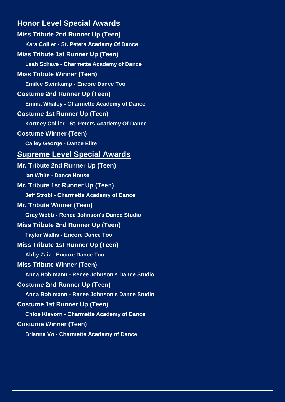**Miss Tribute 2nd Runner Up (Teen) Kara Collier - St. Peters Academy Of Dance Miss Tribute 1st Runner Up (Teen) Leah Schave - Charmette Academy of Dance Miss Tribute Winner (Teen) Emilee Steinkamp - Encore Dance Too Costume 2nd Runner Up (Teen) Emma Whaley - Charmette Academy of Dance Costume 1st Runner Up (Teen) Kortney Collier - St. Peters Academy Of Dance Costume Winner (Teen) Cailey George - Dance Elite Supreme Level Special Awards Mr. Tribute 2nd Runner Up (Teen) Ian White - Dance House Mr. Tribute 1st Runner Up (Teen) Jeff Strobl - Charmette Academy of Dance Mr. Tribute Winner (Teen) Gray Webb - Renee Johnson's Dance Studio Miss Tribute 2nd Runner Up (Teen) Taylor Wallis - Encore Dance Too Miss Tribute 1st Runner Up (Teen) Abby Zaiz - Encore Dance Too Miss Tribute Winner (Teen) Anna Bohlmann - Renee Johnson's Dance Studio Costume 2nd Runner Up (Teen) Anna Bohlmann - Renee Johnson's Dance Studio Costume 1st Runner Up (Teen) Chloe Klevorn - Charmette Academy of Dance Costume Winner (Teen) Brianna Vo - Charmette Academy of Dance**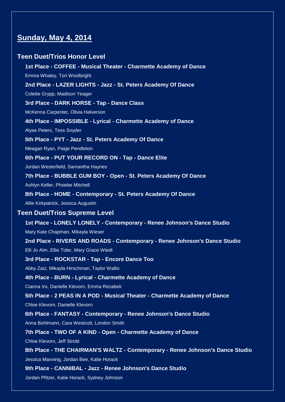# **Sunday, May 4, 2014**

#### **Teen Duet/Trios Honor Level**

**1st Place - COFFEE - Musical Theater - Charmette Academy of Dance** Emma Whaley, Tori Woolbright **2nd Place - LAZER LIGHTS - Jazz - St. Peters Academy Of Dance** Colette Grypp, Madison Yeager **3rd Place - DARK HORSE - Tap - Dance Class** McKenna Carpenter, Olivia Halverson **4th Place - IMPOSSIBLE - Lyrical - Charmette Academy of Dance** Alyse Peters, Tess Snyder **5th Place - PYT - Jazz - St. Peters Academy Of Dance** Meagan Ryan, Paige Pendleton **6th Place - PUT YOUR RECORD ON - Tap - Dance Elite** Jordan Westerfield, Samantha Haynes **7th Place - BUBBLE GUM BOY - Open - St. Peters Academy Of Dance** Ashlyn Keller, Phoebe Mitchell **8th Place - HOME - Contemporary - St. Peters Academy Of Dance** Allie Kirkpatrick, Jessica Augustin **Teen Duet/Trios Supreme Level 1st Place - LONELY LONELY - Contemporary - Renee Johnson's Dance Studio** Mary Kate Chapman, Mikayla Wieser **2nd Place - RIVERS AND ROADS - Contemporary - Renee Johnson's Dance Studio** Elli Jo Alm, Ellie Toler, Mary Grace Wiedt **3rd Place - ROCKSTAR - Tap - Encore Dance Too** Abby Zaiz, Mikayla Hirschman, Taylor Wallis **4th Place - BURN - Lyrical - Charmette Academy of Dance** Cianna Vo, Danielle Klevorn, Emma Rezabek **5th Place - 2 PEAS IN A POD - Musical Theater - Charmette Academy of Dance** Chloe Klevorn, Danielle Klevorn **6th Place - FANTASY - Contemporary - Renee Johnson's Dance Studio** Anna Bohlmann, Cara Westcott, London Smith **7th Place - TWO OF A KIND - Open - Charmette Academy of Dance** Chloe Klevorn, Jeff Strobl **8th Place - THE CHAIRMAN'S WALTZ - Contemporary - Renee Johnson's Dance Studio** Jessica Manning, Jordan Bee, Katie Horack **9th Place - CANNIBAL - Jazz - Renee Johnson's Dance Studio** Jordan Pfitzer, Katie Horack, Sydney Johnson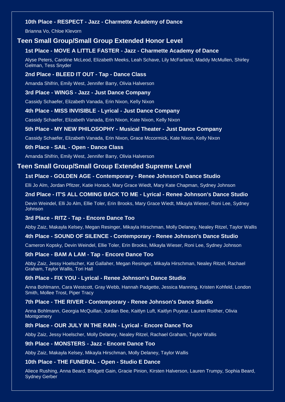#### **10th Place - RESPECT - Jazz - Charmette Academy of Dance**

Brianna Vo, Chloe Klevorn

#### **Teen Small Group/Small Group Extended Honor Level**

#### **1st Place - MOVE A LITTLE FASTER - Jazz - Charmette Academy of Dance**

Alyse Peters, Caroline McLeod, Elizabeth Meeks, Leah Schave, Lily McFarland, Maddy McMullen, Shirley Gelman, Tess Snyder

#### **2nd Place - BLEED IT OUT - Tap - Dance Class**

Amanda Shifrin, Emily West, Jennifer Barry, Olivia Halverson

#### **3rd Place - WINGS - Jazz - Just Dance Company**

Cassidy Schaefer, Elizabeth Vanada, Erin Nixon, Kelly Nixon

#### **4th Place - MISS INVISIBLE - Lyrical - Just Dance Company**

Cassidy Schaefer, Elizabeth Vanada, Erin Nixon, Kate Nixon, Kelly Nixon

#### **5th Place - MY NEW PHILOSOPHY - Musical Theater - Just Dance Company**

Cassidy Schaefer, Elizabeth Vanada, Erin Nixon, Grace Mccormick, Kate Nixon, Kelly Nixon

#### **6th Place - SAIL - Open - Dance Class**

Amanda Shifrin, Emily West, Jennifer Barry, Olivia Halverson

#### **Teen Small Group/Small Group Extended Supreme Level**

#### **1st Place - GOLDEN AGE - Contemporary - Renee Johnson's Dance Studio**

Elli Jo Alm, Jordan Pfitzer, Katie Horack, Mary Grace Wiedt, Mary Kate Chapman, Sydney Johnson

#### **2nd Place - IT'S ALL COMING BACK TO ME - Lyrical - Renee Johnson's Dance Studio**

Devin Weindel, Elli Jo Alm, Ellie Toler, Erin Brooks, Mary Grace Wiedt, Mikayla Wieser, Roni Lee, Sydney Johnson

#### **3rd Place - RITZ - Tap - Encore Dance Too**

Abby Zaiz, Makayla Kelsey, Megan Resinger, Mikayla Hirschman, Molly Delaney, Nealey Ritzel, Taylor Wallis

#### **4th Place - SOUND OF SILENCE - Contemporary - Renee Johnson's Dance Studio**

Cameron Kopsky, Devin Weindel, Ellie Toler, Erin Brooks, Mikayla Wieser, Roni Lee, Sydney Johnson

#### **5th Place - BAM A LAM - Tap - Encore Dance Too**

Abby Zaiz, Jessy Hoelscher, Kat Gallaher, Megan Resinger, Mikayla Hirschman, Nealey Ritzel, Rachael Graham, Taylor Wallis, Tori Hall

#### **6th Place - FIX YOU - Lyrical - Renee Johnson's Dance Studio**

Anna Bohlmann, Cara Westcott, Gray Webb, Hannah Padgette, Jessica Manning, Kristen Kohfeld, London Smith, Mollee Trost, Piper Tracy

#### **7th Place - THE RIVER - Contemporary - Renee Johnson's Dance Studio**

Anna Bohlmann, Georgia McQuillan, Jordan Bee, Kaitlyn Luft, Kaitlyn Puyear, Lauren Roither, Olivia **Montgomery** 

#### **8th Place - OUR JULY IN THE RAIN - Lyrical - Encore Dance Too**

Abby Zaiz, Jessy Hoelscher, Molly Delaney, Nealey Ritzel, Rachael Graham, Taylor Wallis

#### **9th Place - MONSTERS - Jazz - Encore Dance Too**

Abby Zaiz, Makayla Kelsey, Mikayla Hirschman, Molly Delaney, Taylor Wallis

#### **10th Place - THE FUNERAL - Open - Studio E Dance**

Aliece Rushing, Anna Beard, Bridgett Gain, Gracie Pinion, Kirsten Halverson, Lauren Trumpy, Sophia Beard, Sydney Gerber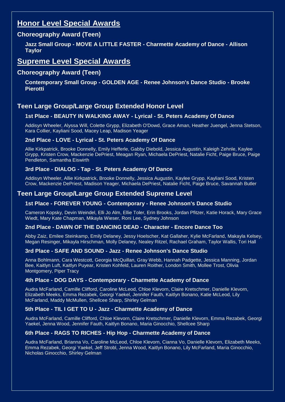## **Choreography Award (Teen)**

**Jazz Small Group - MOVE A LITTLE FASTER - Charmette Academy of Dance - Allison Taylor**

# **Supreme Level Special Awards**

### **Choreography Award (Teen)**

**Contemporary Small Group - GOLDEN AGE - Renee Johnson's Dance Studio - Brooke Pierotti**

# **Teen Large Group/Large Group Extended Honor Level**

#### **1st Place - BEAUTY IN WALKING AWAY - Lyrical - St. Peters Academy Of Dance**

Addisyn Wheeler, Alyssa Will, Colette Grypp, Elizabeth O'Dowd, Grace Aman, Heather Juengel, Jenna Stetson, Kara Collier, Kayliani Sood, Macey Leap, Madison Yeager

#### **2nd Place - LOVE - Lyrical - St. Peters Academy Of Dance**

Allie Kirkpatrick, Brooke Donnelly, Emily Hefferle, Gabby Diebold, Jessica Augustin, Kaleigh Zehnle, Kaylee Grypp, Kristen Crow, Mackenzie DePriest, Meagan Ryan, Michaela DePriest, Natalie Ficht, Paige Bruce, Paige Pendleton, Samantha Eiswirth

#### **3rd Place - DIALOG - Tap - St. Peters Academy Of Dance**

Addisyn Wheeler, Allie Kirkpatrick, Brooke Donnelly, Jessica Augustin, Kaylee Grypp, Kayliani Sood, Kristen Crow, Mackenzie DePriest, Madison Yeager, Michaela DePriest, Natalie Ficht, Paige Bruce, Savannah Butler

## **Teen Large Group/Large Group Extended Supreme Level**

#### **1st Place - FOREVER YOUNG - Contemporary - Renee Johnson's Dance Studio**

Cameron Kopsky, Devin Weindel, Elli Jo Alm, Ellie Toler, Erin Brooks, Jordan Pfitzer, Katie Horack, Mary Grace Wiedt, Mary Kate Chapman, Mikayla Wieser, Roni Lee, Sydney Johnson

#### **2nd Place - DAWN OF THE DANCING DEAD - Character - Encore Dance Too**

Abby Zaiz, Emilee Steinkamp, Emily Delaney, Jessy Hoelscher, Kat Gallaher, Kylie McFarland, Makayla Kelsey, Megan Resinger, Mikayla Hirschman, Molly Delaney, Nealey Ritzel, Rachael Graham, Taylor Wallis, Tori Hall

#### **3rd Place - SAFE AND SOUND - Jazz - Renee Johnson's Dance Studio**

Anna Bohlmann, Cara Westcott, Georgia McQuillan, Gray Webb, Hannah Padgette, Jessica Manning, Jordan Bee, Kaitlyn Luft, Kaitlyn Puyear, Kristen Kohfeld, Lauren Roither, London Smith, Mollee Trost, Olivia Montgomery, Piper Tracy

#### **4th Place - DOG DAYS - Contemporary - Charmette Academy of Dance**

Audra McFarland, Camille Clifford, Caroline McLeod, Chloe Klevorn, Claire Kretschmer, Danielle Klevorn, Elizabeth Meeks, Emma Rezabek, Georgi Yaekel, Jennifer Fauth, Kaitlyn Bonano, Katie McLeod, Lily McFarland, Maddy McMullen, Shellcee Sharp, Shirley Gelman

#### **5th Place - TIL I GET TO U - Jazz - Charmette Academy of Dance**

Audra McFarland, Camille Clifford, Chloe Klevorn, Claire Kretschmer, Danielle Klevorn, Emma Rezabek, Georgi Yaekel, Jenna Wood, Jennifer Fauth, Kaitlyn Bonano, Maria Ginocchio, Shellcee Sharp

#### **6th Place - RAGS TO RICHES - Hip Hop - Charmette Academy of Dance**

Audra McFarland, Brianna Vo, Caroline McLeod, Chloe Klevorn, Cianna Vo, Danielle Klevorn, Elizabeth Meeks, Emma Rezabek, Georgi Yaekel, Jeff Strobl, Jenna Wood, Kaitlyn Bonano, Lily McFarland, Maria Ginocchio, Nicholas Ginocchio, Shirley Gelman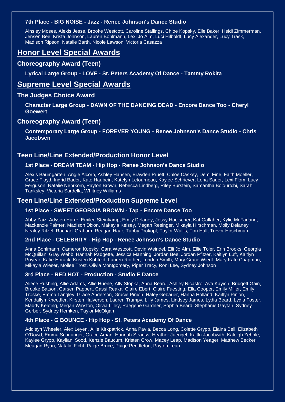#### **7th Place - BIG NOISE - Jazz - Renee Johnson's Dance Studio**

Ainsley Moses, Alexis Jesse, Brooke Westcott, Caroline Stallings, Chloe Kopsky, Elle Baker, Heidi Zimmerman, Jensen Bee, Krista Johnson, Lauren Bohlmann, Lexi Jo Alm, Luci Hilboldt, Lucy Alexander, Lucy Trask, Madison Ripson, Natalie Barth, Nicole Lawson, Victoria Casazza

# **Honor Level Special Awards**

#### **Choreography Award (Teen)**

**Lyrical Large Group - LOVE - St. Peters Academy Of Dance - Tammy Rokita**

# **Supreme Level Special Awards**

#### **The Judges Choice Award**

**Character Large Group - DAWN OF THE DANCING DEAD - Encore Dance Too - Cheryl Goewert**

#### **Choreography Award (Teen)**

**Contemporary Large Group - FOREVER YOUNG - Renee Johnson's Dance Studio - Chris Jacobsen**

## **Teen Line/Line Extended/Production Honor Level**

#### **1st Place - DREAM TEAM - Hip Hop - Renee Johnson's Dance Studio**

Alexis Baumgarten, Angie Alcorn, Ashley Hansen, Brayden Pruett, Chloe Caskey, Demi Fine, Faith Moeller, Grace Floyd, Ingrid Bader, Kate Haubein, Katelyn Letourneau, Kaylee Schriever, Lena Sauer, Lexi Flom, Lucy Ferguson, Natalie Nehrkorn, Payton Brown, Rebecca Lindberg, Riley Burstein, Samantha Bolourtchi, Sarah Tanksley, Victoria Sardella, Whitney Williams

#### **Teen Line/Line Extended/Production Supreme Level**

#### **1st Place - SWEET GEORGIA BROWN - Tap - Encore Dance Too**

Abby Zaiz, Adysen Harre, Emilee Steinkamp, Emily Delaney, Jessy Hoelscher, Kat Gallaher, Kylie McFarland, Mackenzie Palmer, Madison Dixon, Makayla Kelsey, Megan Resinger, Mikayla Hirschman, Molly Delaney, Nealey Ritzel, Rachael Graham, Reagan Haar, Tabby Prokopf, Taylor Wallis, Tori Hall, Trevor Hirschman

#### **2nd Place - CELEBRITY - Hip Hop - Renee Johnson's Dance Studio**

Anna Bohlmann, Cameron Kopsky, Cara Westcott, Devin Weindel, Elli Jo Alm, Ellie Toler, Erin Brooks, Georgia McQuillan, Gray Webb, Hannah Padgette, Jessica Manning, Jordan Bee, Jordan Pfitzer, Kaitlyn Luft, Kaitlyn Puyear, Katie Horack, Kristen Kohfeld, Lauren Roither, London Smith, Mary Grace Wiedt, Mary Kate Chapman, Mikayla Wieser, Mollee Trost, Olivia Montgomery, Piper Tracy, Roni Lee, Sydney Johnson

#### **3rd Place - RED HOT - Production - Studio E Dance**

Aliece Rushing, Allie Adams, Allie Huene, Ally Stopka, Anna Beard, Ashley Nicastro, Ava Kayich, Bridgett Gain, Brooke Batson, Carsen Pappert, Cassi Reaka, Claire Ebert, Claire Fuesting, Ella Cooper, Emily Miller, Emily Troske, Emma Langley, Grace Anderson, Gracie Pinion, Haley Gebauer, Hanna Holland, Kaitlyn Pinion, Kendallyn Kneedler, Kirsten Halverson, Lauren Trumpy, Lilly James, Lindsey James, Lydia Beard, Lydia Foster, Maddy Keating, Megan Winston, Olivia Lilley, Raegene Gardner, Sophia Beard, Stephanie Gaytan, Sydney Gerber, Sydney Hemken, Taylor McOlgan

#### **4th Place - G BOUNCE - Hip Hop - St. Peters Academy Of Dance**

Addisyn Wheeler, Alex Leyen, Allie Kirkpatrick, Anna Pavia, Becca Long, Colette Grypp, Elaina Bell, Elizabeth O'Dowd, Emma Schnuriger, Grace Aman, Hannah Strauss, Heather Juengel, Kaitln Jacobwith, Kaleigh Zehnle, Kaylee Grypp, Kayliani Sood, Kenzie Baucum, Kristen Crow, Macey Leap, Madison Yeager, Matthew Becker, Meagan Ryan, Natalie Ficht, Paige Bruce, Paige Pendleton, Payton Leap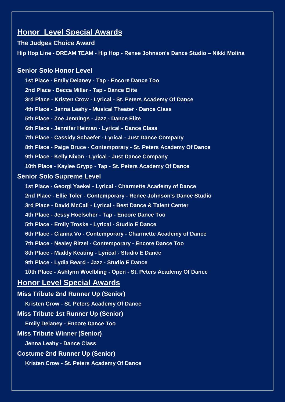# **The Judges Choice Award Hip Hop Line - DREAM TEAM - Hip Hop - Renee Johnson's Dance Studio – Nikki Molina**

## **Senior Solo Honor Level**

**1st Place - Emily Delaney - Tap - Encore Dance Too 2nd Place - Becca Miller - Tap - Dance Elite 3rd Place - Kristen Crow - Lyrical - St. Peters Academy Of Dance 4th Place - Jenna Leahy - Musical Theater - Dance Class 5th Place - Zoe Jennings - Jazz - Dance Elite 6th Place - Jennifer Heiman - Lyrical - Dance Class 7th Place - Cassidy Schaefer - Lyrical - Just Dance Company 8th Place - Paige Bruce - Contemporary - St. Peters Academy Of Dance 9th Place - Kelly Nixon - Lyrical - Just Dance Company 10th Place - Kaylee Grypp - Tap - St. Peters Academy Of Dance Senior Solo Supreme Level 1st Place - Georgi Yaekel - Lyrical - Charmette Academy of Dance 2nd Place - Ellie Toler - Contemporary - Renee Johnson's Dance Studio 3rd Place - David McCall - Lyrical - Best Dance & Talent Center 4th Place - Jessy Hoelscher - Tap - Encore Dance Too 5th Place - Emily Troske - Lyrical - Studio E Dance 6th Place - Cianna Vo - Contemporary - Charmette Academy of Dance 7th Place - Nealey Ritzel - Contemporary - Encore Dance Too 8th Place - Maddy Keating - Lyrical - Studio E Dance 9th Place - Lydia Beard - Jazz - Studio E Dance 10th Place - Ashlynn Woelbling - Open - St. Peters Academy Of Dance Honor Level Special Awards Miss Tribute 2nd Runner Up (Senior) Kristen Crow - St. Peters Academy Of Dance Miss Tribute 1st Runner Up (Senior) Emily Delaney - Encore Dance Too Miss Tribute Winner (Senior) Jenna Leahy - Dance Class**

**Costume 2nd Runner Up (Senior)**

**Kristen Crow - St. Peters Academy Of Dance**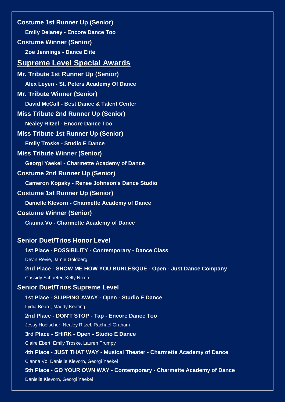**Costume 1st Runner Up (Senior) Emily Delaney - Encore Dance Too Costume Winner (Senior) Zoe Jennings - Dance Elite**

# **Supreme Level Special Awards**

**Mr. Tribute 1st Runner Up (Senior) Alex Leyen - St. Peters Academy Of Dance Mr. Tribute Winner (Senior) David McCall - Best Dance & Talent Center Miss Tribute 2nd Runner Up (Senior) Nealey Ritzel - Encore Dance Too Miss Tribute 1st Runner Up (Senior) Emily Troske - Studio E Dance Miss Tribute Winner (Senior) Georgi Yaekel - Charmette Academy of Dance Costume 2nd Runner Up (Senior) Cameron Kopsky - Renee Johnson's Dance Studio Costume 1st Runner Up (Senior) Danielle Klevorn - Charmette Academy of Dance Costume Winner (Senior) Cianna Vo - Charmette Academy of Dance Senior Duet/Trios Honor Level**

# **1st Place - POSSIBILITY - Contemporary - Dance Class** Devin Revie, Jamie Goldberg **2nd Place - SHOW ME HOW YOU BURLESQUE - Open - Just Dance Company** Cassidy Schaefer, Kelly Nixon

# **Senior Duet/Trios Supreme Level**

**1st Place - SLIPPING AWAY - Open - Studio E Dance** Lydia Beard, Maddy Keating **2nd Place - DON'T STOP - Tap - Encore Dance Too**

Jessy Hoelscher, Nealey Ritzel, Rachael Graham

#### **3rd Place - SHIRK - Open - Studio E Dance**

Claire Ebert, Emily Troske, Lauren Trumpy

**4th Place - JUST THAT WAY - Musical Theater - Charmette Academy of Dance**

Cianna Vo, Danielle Klevorn, Georgi Yaekel

**5th Place - GO YOUR OWN WAY - Contemporary - Charmette Academy of Dance**

Danielle Klevorn, Georgi Yaekel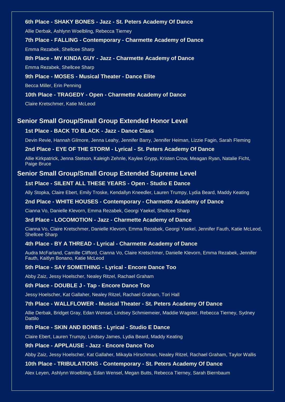#### **6th Place - SHAKY BONES - Jazz - St. Peters Academy Of Dance**

Allie Derbak, Ashlynn Woelbling, Rebecca Tierney

#### **7th Place - FALLING - Contemporary - Charmette Academy of Dance**

Emma Rezabek, Shellcee Sharp

#### **8th Place - MY KINDA GUY - Jazz - Charmette Academy of Dance**

Emma Rezabek, Shellcee Sharp

#### **9th Place - MOSES - Musical Theater - Dance Elite**

Becca Miller, Erin Penning

#### **10th Place - TRAGEDY - Open - Charmette Academy of Dance**

Claire Kretschmer, Katie McLeod

#### **Senior Small Group/Small Group Extended Honor Level**

#### **1st Place - BACK TO BLACK - Jazz - Dance Class**

Devin Revie, Hannah Gilmore, Jenna Leahy, Jennifer Barry, Jennifer Heiman, Lizzie Fagin, Sarah Fleming

#### **2nd Place - EYE OF THE STORM - Lyrical - St. Peters Academy Of Dance**

Allie Kirkpatrick, Jenna Stetson, Kaleigh Zehnle, Kaylee Grypp, Kristen Crow, Meagan Ryan, Natalie Ficht, Paige Bruce

#### **Senior Small Group/Small Group Extended Supreme Level**

#### **1st Place - SILENT ALL THESE YEARS - Open - Studio E Dance**

Ally Stopka, Claire Ebert, Emily Troske, Kendallyn Kneedler, Lauren Trumpy, Lydia Beard, Maddy Keating

#### **2nd Place - WHITE HOUSES - Contemporary - Charmette Academy of Dance**

Cianna Vo, Danielle Klevorn, Emma Rezabek, Georgi Yaekel, Shellcee Sharp

#### **3rd Place - LOCOMOTION - Jazz - Charmette Academy of Dance**

Cianna Vo, Claire Kretschmer, Danielle Klevorn, Emma Rezabek, Georgi Yaekel, Jennifer Fauth, Katie McLeod, Shellcee Sharp

#### **4th Place - BY A THREAD - Lyrical - Charmette Academy of Dance**

Audra McFarland, Camille Clifford, Cianna Vo, Claire Kretschmer, Danielle Klevorn, Emma Rezabek, Jennifer Fauth, Kaitlyn Bonano, Katie McLeod

#### **5th Place - SAY SOMETHING - Lyrical - Encore Dance Too**

Abby Zaiz, Jessy Hoelscher, Nealey Ritzel, Rachael Graham

#### **6th Place - DOUBLE J - Tap - Encore Dance Too**

Jessy Hoelscher, Kat Gallaher, Nealey Ritzel, Rachael Graham, Tori Hall

#### **7th Place - WALLFLOWER - Musical Theater - St. Peters Academy Of Dance**

Allie Derbak, Bridget Gray, Edan Wensel, Lindsey Schmiemeier, Maddie Wagster, Rebecca Tierney, Sydney Dattilo

#### **8th Place - SKIN AND BONES - Lyrical - Studio E Dance**

Claire Ebert, Lauren Trumpy, Lindsey James, Lydia Beard, Maddy Keating

#### **9th Place - APPLAUSE - Jazz - Encore Dance Too**

Abby Zaiz, Jessy Hoelscher, Kat Gallaher, Mikayla Hirschman, Nealey Ritzel, Rachael Graham, Taylor Wallis

#### **10th Place - TRIBULATIONS - Contemporary - St. Peters Academy Of Dance**

Alex Leyen, Ashlynn Woelbling, Edan Wensel, Megan Butts, Rebecca Tierney, Sarah Biernbaum